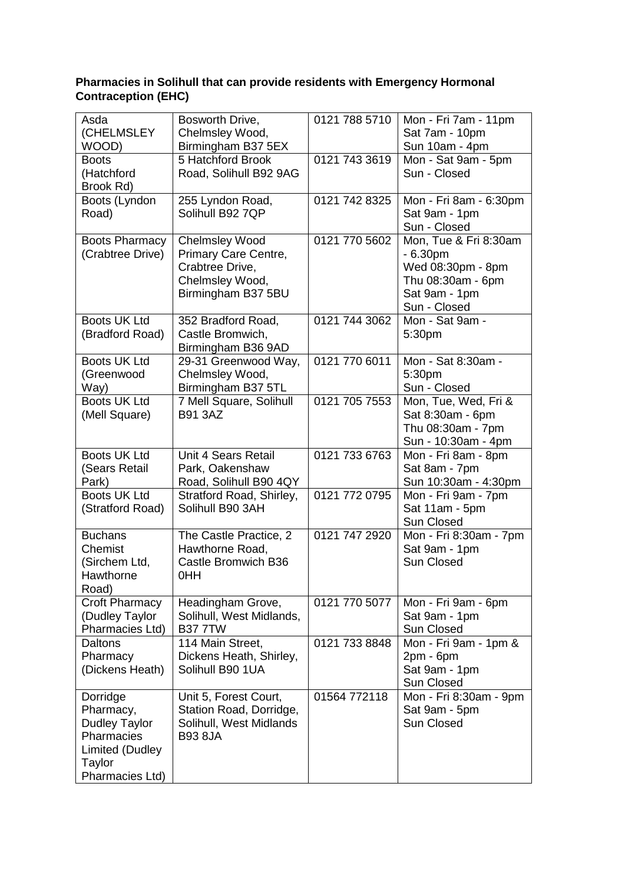## **Pharmacies in Solihull that can provide residents with Emergency Hormonal Contraception (EHC)**

| Asda                  | Bosworth Drive,          | 0121 788 5710 | Mon - Fri 7am - 11pm   |
|-----------------------|--------------------------|---------------|------------------------|
| (CHELMSLEY            | Chelmsley Wood,          |               | Sat 7am - 10pm         |
| WOOD)                 | Birmingham B37 5EX       |               | Sun 10am - 4pm         |
| <b>Boots</b>          | 5 Hatchford Brook        | 0121 743 3619 | Mon - Sat 9am - 5pm    |
| (Hatchford            | Road, Solihull B92 9AG   |               | Sun - Closed           |
| Brook Rd)             |                          |               |                        |
| Boots (Lyndon         | 255 Lyndon Road,         | 0121 742 8325 | Mon - Fri 8am - 6:30pm |
| Road)                 | Solihull B92 7QP         |               | Sat 9am - 1pm          |
|                       |                          |               | Sun - Closed           |
| <b>Boots Pharmacy</b> | <b>Chelmsley Wood</b>    | 0121 770 5602 | Mon, Tue & Fri 8:30am  |
| (Crabtree Drive)      | Primary Care Centre,     |               | $-6.30pm$              |
|                       | Crabtree Drive,          |               | Wed 08:30pm - 8pm      |
|                       | Chelmsley Wood,          |               | Thu 08:30am - 6pm      |
|                       | Birmingham B37 5BU       |               | Sat 9am - 1pm          |
|                       |                          |               | Sun - Closed           |
| Boots UK Ltd          | 352 Bradford Road,       | 0121 744 3062 | Mon - Sat 9am -        |
| (Bradford Road)       | Castle Bromwich,         |               | 5:30pm                 |
|                       | Birmingham B36 9AD       |               |                        |
| Boots UK Ltd          | 29-31 Greenwood Way,     | 0121 770 6011 | Mon - Sat 8:30am -     |
| (Greenwood            | Chelmsley Wood,          |               | 5:30pm                 |
| Way)                  | Birmingham B37 5TL       |               | Sun - Closed           |
| <b>Boots UK Ltd</b>   | 7 Mell Square, Solihull  | 0121 705 7553 | Mon, Tue, Wed, Fri &   |
| (Mell Square)         | <b>B91 3AZ</b>           |               | Sat 8:30am - 6pm       |
|                       |                          |               | Thu 08:30am - 7pm      |
|                       |                          |               | Sun - 10:30am - 4pm    |
| Boots UK Ltd          | Unit 4 Sears Retail      | 0121 733 6763 | Mon - Fri 8am - 8pm    |
| (Sears Retail         | Park, Oakenshaw          |               | Sat 8am - 7pm          |
| Park)                 | Road, Solihull B90 4QY   |               | Sun 10:30am - 4:30pm   |
| <b>Boots UK Ltd</b>   | Stratford Road, Shirley, | 0121 772 0795 | Mon - Fri 9am - 7pm    |
| (Stratford Road)      | Solihull B90 3AH         |               | Sat 11am - 5pm         |
|                       |                          |               | Sun Closed             |
| <b>Buchans</b>        | The Castle Practice, 2   | 0121 747 2920 | Mon - Fri 8:30am - 7pm |
| Chemist               | Hawthorne Road,          |               | Sat 9am - 1pm          |
| (Sirchem Ltd,         | Castle Bromwich B36      |               | Sun Closed             |
| Hawthorne             | 0HH                      |               |                        |
| Road)                 |                          |               |                        |
| Croft Pharmacy        | Headingham Grove,        | 0121 770 5077 | Mon - Fri 9am - 6pm    |
| (Dudley Taylor        | Solihull, West Midlands, |               | Sat 9am - 1pm          |
| Pharmacies Ltd)       | <b>B377TW</b>            |               | Sun Closed             |
| <b>Daltons</b>        | 114 Main Street,         | 0121 733 8848 | Mon - Fri 9am - 1pm &  |
| Pharmacy              | Dickens Heath, Shirley,  |               | $2pm - 6pm$            |
| (Dickens Heath)       | Solihull B90 1UA         |               | Sat 9am - 1pm          |
|                       |                          |               | Sun Closed             |
| Dorridge              | Unit 5, Forest Court,    | 01564 772118  | Mon - Fri 8:30am - 9pm |
| Pharmacy,             | Station Road, Dorridge,  |               | Sat 9am - 5pm          |
| <b>Dudley Taylor</b>  | Solihull, West Midlands  |               | Sun Closed             |
| Pharmacies            | <b>B93 8JA</b>           |               |                        |
| Limited (Dudley       |                          |               |                        |
| Taylor                |                          |               |                        |
| Pharmacies Ltd)       |                          |               |                        |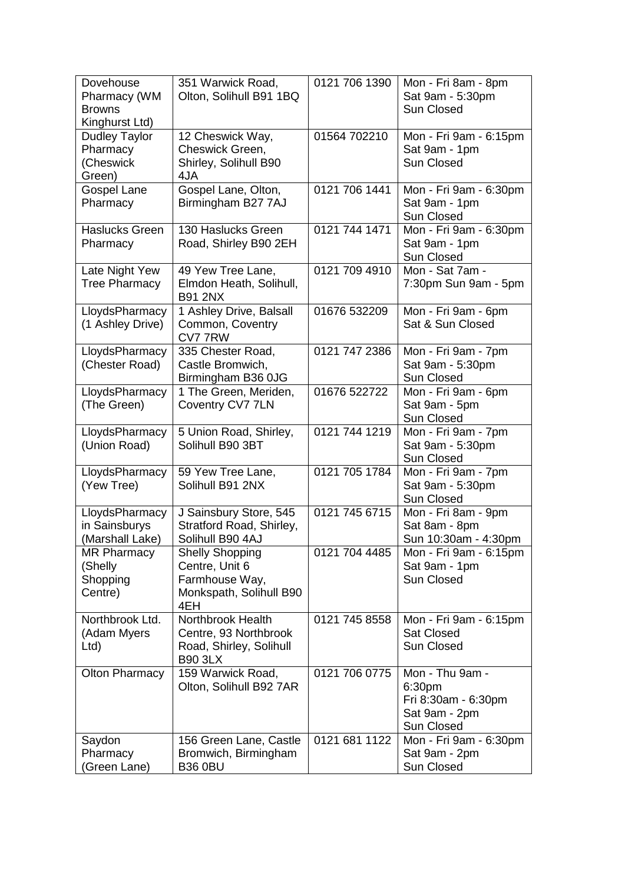| Dovehouse<br>Pharmacy (WM<br><b>Browns</b>              | 351 Warwick Road,<br>Olton, Solihull B91 1BQ                                                 | 0121 706 1390 | Mon - Fri 8am - 8pm<br>Sat 9am - 5:30pm<br>Sun Closed                           |
|---------------------------------------------------------|----------------------------------------------------------------------------------------------|---------------|---------------------------------------------------------------------------------|
| Kinghurst Ltd)                                          |                                                                                              |               |                                                                                 |
| <b>Dudley Taylor</b><br>Pharmacy<br>(Cheswick<br>Green) | 12 Cheswick Way,<br>Cheswick Green,<br>Shirley, Solihull B90<br>4JA                          | 01564 702210  | Mon - Fri 9am - 6:15pm<br>Sat 9am - 1pm<br><b>Sun Closed</b>                    |
| <b>Gospel Lane</b><br>Pharmacy                          | Gospel Lane, Olton,<br>Birmingham B27 7AJ                                                    | 0121 706 1441 | Mon - Fri 9am - 6:30pm<br>Sat 9am - 1pm                                         |
|                                                         |                                                                                              |               | Sun Closed                                                                      |
| <b>Haslucks Green</b><br>Pharmacy                       | 130 Haslucks Green<br>Road, Shirley B90 2EH                                                  | 0121 744 1471 | Mon - Fri 9am - 6:30pm<br>Sat 9am - 1pm<br>Sun Closed                           |
| Late Night Yew<br><b>Tree Pharmacy</b>                  | 49 Yew Tree Lane,<br>Elmdon Heath, Solihull,<br><b>B91 2NX</b>                               | 0121 709 4910 | Mon - Sat 7am -<br>7:30pm Sun 9am - 5pm                                         |
| LloydsPharmacy<br>(1 Ashley Drive)                      | 1 Ashley Drive, Balsall<br>Common, Coventry<br>CV777RW                                       | 01676 532209  | Mon - Fri 9am - 6pm<br>Sat & Sun Closed                                         |
| LloydsPharmacy<br>(Chester Road)                        | 335 Chester Road,<br>Castle Bromwich,<br>Birmingham B36 0JG                                  | 0121 747 2386 | Mon - Fri 9am - 7pm<br>Sat 9am - 5:30pm<br>Sun Closed                           |
| LloydsPharmacy<br>(The Green)                           | 1 The Green, Meriden,<br>Coventry CV7 7LN                                                    | 01676 522722  | Mon - Fri 9am - 6pm<br>Sat 9am - 5pm<br>Sun Closed                              |
| LloydsPharmacy<br>(Union Road)                          | 5 Union Road, Shirley,<br>Solihull B90 3BT                                                   | 0121 744 1219 | Mon - Fri 9am - 7pm<br>Sat 9am - 5:30pm<br>Sun Closed                           |
| LloydsPharmacy<br>(Yew Tree)                            | 59 Yew Tree Lane,<br>Solihull B91 2NX                                                        | 0121 705 1784 | Mon - Fri 9am - 7pm<br>Sat 9am - 5:30pm<br>Sun Closed                           |
| LloydsPharmacy<br>in Sainsburys<br>(Marshall Lake)      | J Sainsbury Store, 545<br>Stratford Road, Shirley,<br>Solihull B90 4AJ                       | 0121 745 6715 | Mon - Fri 8am - 9pm<br>Sat 8am - 8pm<br>Sun 10:30am - 4:30pm                    |
| <b>MR Pharmacy</b><br>(Shelly<br>Shopping<br>Centre)    | <b>Shelly Shopping</b><br>Centre, Unit 6<br>Farmhouse Way,<br>Monkspath, Solihull B90<br>4EH | 0121 704 4485 | Mon - Fri 9am - 6:15pm<br>Sat 9am - 1pm<br>Sun Closed                           |
| Northbrook Ltd.<br>(Adam Myers<br>Ltd                   | Northbrook Health<br>Centre, 93 Northbrook<br>Road, Shirley, Solihull<br><b>B90 3LX</b>      | 0121 745 8558 | Mon - Fri 9am - 6:15pm<br>Sat Closed<br><b>Sun Closed</b>                       |
| <b>Olton Pharmacy</b>                                   | 159 Warwick Road,<br>Olton, Solihull B92 7AR                                                 | 0121 706 0775 | Mon - Thu 9am -<br>6:30pm<br>Fri 8:30am - 6:30pm<br>Sat 9am - 2pm<br>Sun Closed |
| Saydon<br>Pharmacy<br>(Green Lane)                      | 156 Green Lane, Castle<br>Bromwich, Birmingham<br><b>B36 0BU</b>                             | 0121 681 1122 | Mon - Fri 9am - 6:30pm<br>Sat 9am - 2pm<br>Sun Closed                           |